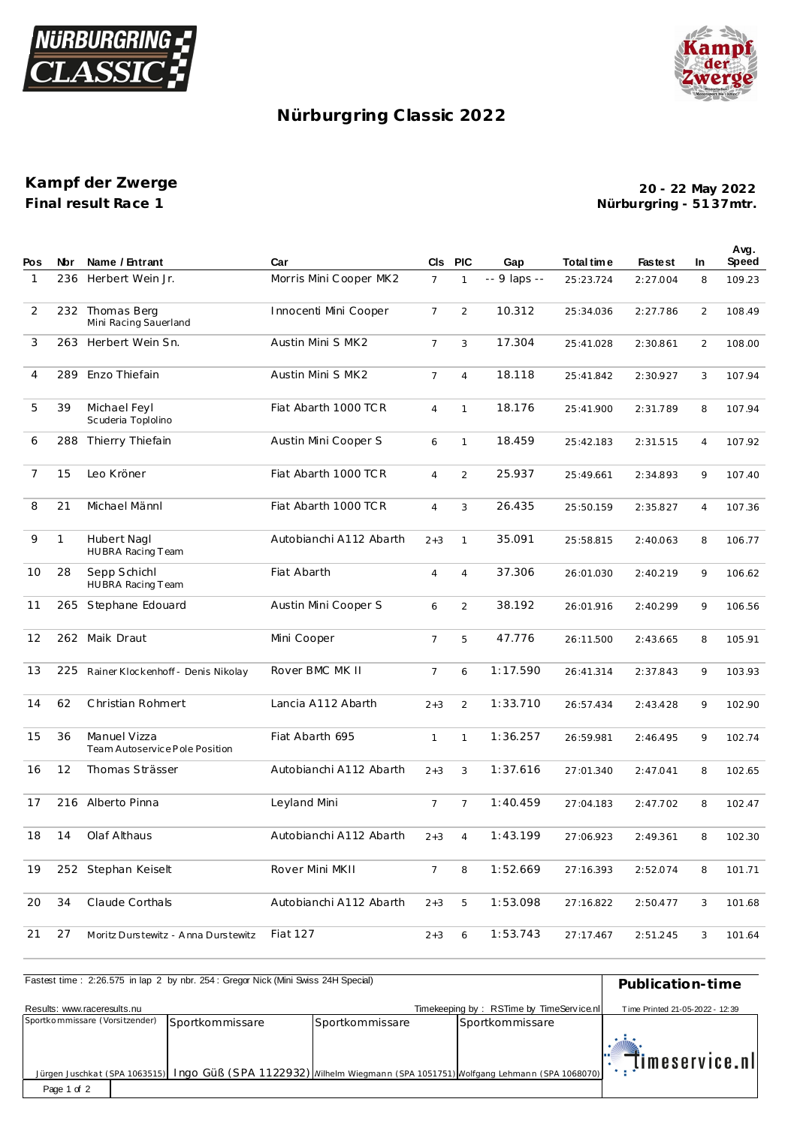



## **Nürburgring C lassic 2022**

## **Kampf der Zwerge Final result Race 1**

**Nürburgring - 51 37mtr. 20 - 22 May 2022**

| Pos | <b>Nbr</b>   | Name / Entrant                                 | Car                     |                | CIs PIC        | Gap          | Total time | <b>Fastest</b> | <b>In</b>      | Avg.<br><b>Speed</b> |
|-----|--------------|------------------------------------------------|-------------------------|----------------|----------------|--------------|------------|----------------|----------------|----------------------|
| 1   | 236          | Herbert Wein Jr.                               | Morris Mini Cooper MK2  | $\overline{7}$ | 1              | -- 9 laps -- | 25:23.724  | 2:27.004       | 8              | 109.23               |
| 2   |              | 232 Thomas Berg<br>Mini Racing Sauerland       | Innocenti Mini Cooper   | $\overline{7}$ | 2              | 10.312       | 25:34.036  | 2:27.786       | $\overline{2}$ | 108.49               |
| 3   |              | 263 Herbert Wein Sn.                           | Austin Mini S MK2       | $\overline{7}$ | 3              | 17.304       | 25:41.028  | 2:30.861       | 2              | 108.00               |
| 4   | 289          | Enzo Thiefain                                  | Austin Mini S MK2       | $\overline{7}$ | $\overline{4}$ | 18.118       | 25:41.842  | 2:30.927       | 3              | 107.94               |
| 5   | 39           | Michael Feyl<br>Scuderia Toplolino             | Fiat Abarth 1000 TCR    | $\overline{4}$ | $\mathbf{1}$   | 18.176       | 25:41.900  | 2:31.789       | 8              | 107.94               |
| 6   | 288          | Thierry Thiefain                               | Austin Mini Cooper S    | 6              | $\mathbf{1}$   | 18.459       | 25:42.183  | 2:31.515       | $\overline{4}$ | 107.92               |
| 7   | 15           | Leo Kröner                                     | Fiat Abarth 1000 TCR    | $\overline{4}$ | $\overline{a}$ | 25.937       | 25:49.661  | 2:34.893       | 9              | 107.40               |
| 8   | 21           | Michael Männl                                  | Fiat Abarth 1000 TCR    | $\overline{4}$ | 3              | 26.435       | 25:50.159  | 2:35.827       | 4              | 107.36               |
| 9   | $\mathbf{1}$ | Hubert Nagl<br>HUBRA Racing Team               | Autobianchi A112 Abarth | $2 + 3$        | $\mathbf{1}$   | 35.091       | 25:58.815  | 2:40.063       | 8              | 106.77               |
| 10  | 28           | Sepp Schichl<br>HUBRA Racing Team              | Fiat Abarth             | $\overline{4}$ | $\overline{4}$ | 37.306       | 26:01.030  | 2:40.219       | 9              | 106.62               |
| 11  | 265          | Stephane Edouard                               | Austin Mini Cooper S    | 6              | $\overline{a}$ | 38.192       | 26:01.916  | 2:40.299       | 9              | 106.56               |
| 12  | 262          | Maik Draut                                     | Mini Cooper             | $\overline{7}$ | 5              | 47.776       | 26:11.500  | 2:43.665       | 8              | 105.91               |
| 13  | 225          | Rainer Klockenhoff - Denis Nikolay             | Rover BMC MK II         | $\overline{7}$ | 6              | 1:17.590     | 26:41.314  | 2:37.843       | 9              | 103.93               |
| 14  | 62           | Christian Rohmert                              | Lancia A112 Abarth      | $2 + 3$        | $\overline{a}$ | 1:33.710     | 26:57.434  | 2:43.428       | 9              | 102.90               |
| 15  | 36           | Manuel Vizza<br>Team Autoservice Pole Position | Fiat Abarth 695         | $\mathbf{1}$   | $\mathbf{1}$   | 1:36.257     | 26:59.981  | 2:46.495       | 9              | 102.74               |
| 16  | 12           | Thomas Strässer                                | Autobianchi A112 Abarth | $2 + 3$        | 3              | 1:37.616     | 27:01.340  | 2:47.041       | 8              | 102.65               |
| 17  |              | 216 Alberto Pinna                              | Leyland Mini            | $\overline{7}$ | 7              | 1:40.459     | 27:04.183  | 2:47.702       | 8              | 102.47               |
| 18  | 14           | Olaf Althaus                                   | Autobianchi A112 Abarth | $2 + 3$        | $\overline{4}$ | 1:43.199     | 27:06.923  | 2:49.361       | 8              | 102.30               |
| 19  |              | 252 Stephan Keiselt                            | Rover Mini MKII         | $7^{\circ}$    | 8              | 1:52.669     | 27:16.393  | 2:52.074       | 8              | 101.71               |
| 20  | 34           | Claude Corthals                                | Autobianchi A112 Abarth | $2 + 3$        | 5              | 1:53.098     | 27:16.822  | 2:50.477       | 3              | 101.68               |
| 21  | 27           | Moritz Durstewitz - Anna Durstewitz            | Fiat 127                | $2 + 3$        | 6              | 1:53.743     | 27:17.467  | 2:51.245       | 3              | 101.64               |

| Fastest time: 2:26.575 in lap 2 by nbr. 254: Gregor Nick (Mini Swiss 24H Special) | Publication-time |                 |                                                                                                                    |                                 |
|-----------------------------------------------------------------------------------|------------------|-----------------|--------------------------------------------------------------------------------------------------------------------|---------------------------------|
| Results: www.raceresults.nu                                                       |                  |                 | Timekeeping by: RSTime by TimeService.nl                                                                           | Time Printed 21-05-2022 - 12:39 |
| Sportkommissare (Vorsitzender)                                                    | Sportkommissare  | Sportkommissare | Sportkommissare                                                                                                    |                                 |
| Page 1 of 2                                                                       |                  |                 | Jürgen Juschkat (SPA 1063515) Ingo Güß (SPA 1122932) Milhelm Wiegmann (SPA 1051751) Wolfgang Lehmann (SPA 1068070) | timeservice.nl                  |